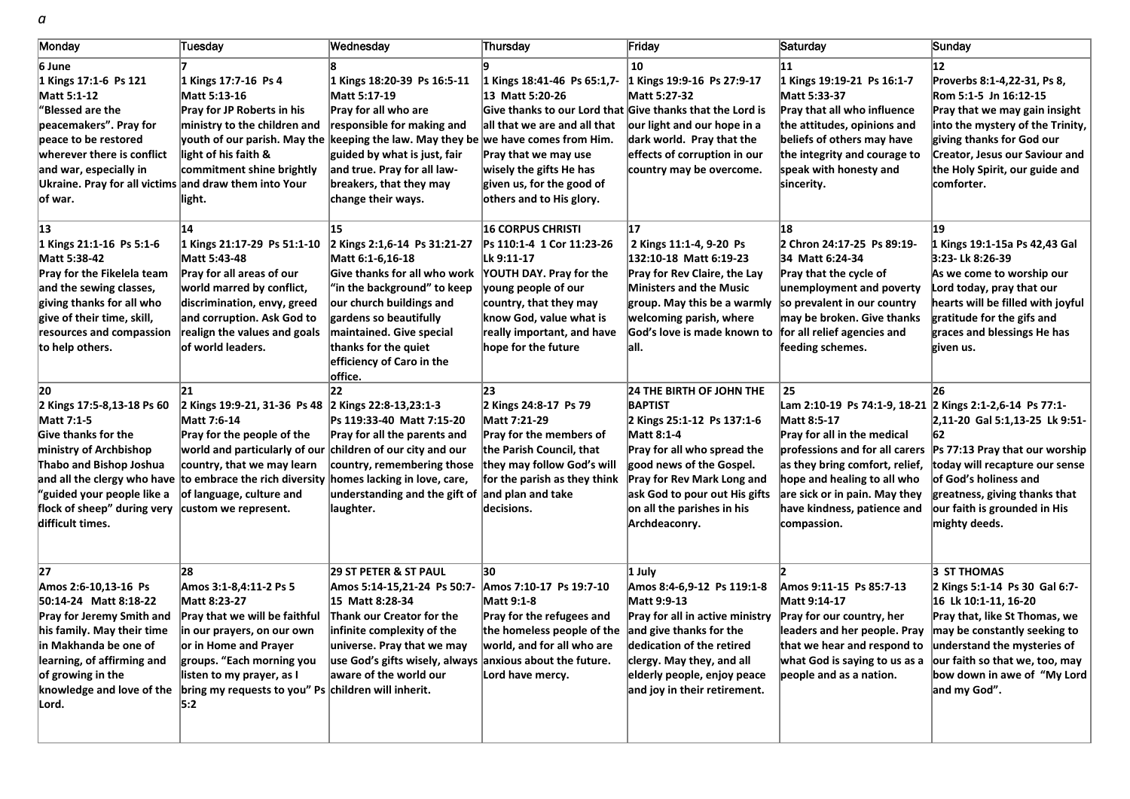| Monday                                                                                                                                                                                                                                     | Tuesday                                                                                                                                                                                                                                                                                                | Wednesday                                                                                                                                                                                                                                                                 | Thursday                                                                                                                                                                                                                                                | Friday                                                                                                                                                                                                                                                                        | Saturday                                                                                                                                                                                                                                                                                       | Sunday                                                                                                                                                                                                                                                       |
|--------------------------------------------------------------------------------------------------------------------------------------------------------------------------------------------------------------------------------------------|--------------------------------------------------------------------------------------------------------------------------------------------------------------------------------------------------------------------------------------------------------------------------------------------------------|---------------------------------------------------------------------------------------------------------------------------------------------------------------------------------------------------------------------------------------------------------------------------|---------------------------------------------------------------------------------------------------------------------------------------------------------------------------------------------------------------------------------------------------------|-------------------------------------------------------------------------------------------------------------------------------------------------------------------------------------------------------------------------------------------------------------------------------|------------------------------------------------------------------------------------------------------------------------------------------------------------------------------------------------------------------------------------------------------------------------------------------------|--------------------------------------------------------------------------------------------------------------------------------------------------------------------------------------------------------------------------------------------------------------|
| 6 June<br>1 Kings 17:1-6 Ps 121<br>Matt 5:1-12<br>"Blessed are the<br>peacemakers". Pray for<br>peace to be restored<br>wherever there is conflict<br>and war, especially in<br>Ukraine. Pray for all victims<br>of war.                   | 1 Kings 17:7-16 Ps 4<br>Matt 5:13-16<br>Pray for JP Roberts in his<br>ministry to the children and<br>youth of our parish. May the<br>light of his faith &<br>commitment shine brightly<br>and draw them into Your<br>light.                                                                           | 1 Kings 18:20-39 Ps 16:5-11<br>Matt 5:17-19<br>Pray for all who are<br>responsible for making and<br>keeping the law. May they be we have comes from Him.<br>guided by what is just, fair<br>and true. Pray for all law-<br>breakers, that they may<br>change their ways. | 1 Kings 18:41-46 Ps 65:1,7-<br>13 Matt 5:20-26<br>Give thanks to our Lord that Give thanks that the Lord is<br>all that we are and all that<br>Pray that we may use<br>wisely the gifts He has<br>given us, for the good of<br>others and to His glory. | 10<br>1 Kings 19:9-16 Ps 27:9-17<br>Matt 5:27-32<br>our light and our hope in a<br>dark world. Pray that the<br>effects of corruption in our<br>country may be overcome.                                                                                                      | 11<br>1 Kings 19:19-21 Ps 16:1-7<br>Matt 5:33-37<br>Pray that all who influence<br>the attitudes, opinions and<br>beliefs of others may have<br>the integrity and courage to<br>speak with honesty and<br>sincerity.                                                                           | 12<br>Proverbs 8:1-4,22-31, Ps 8,<br>Rom 5:1-5 Jn 16:12-15<br>Pray that we may gain insight<br>into the mystery of the Trinity,<br>giving thanks for God our<br>Creator, Jesus our Saviour and<br>the Holy Spirit, our guide and<br>comforter.               |
| 13<br>1 Kings 21:1-16 Ps 5:1-6<br>Matt 5:38-42<br>Pray for the Fikelela team<br>and the sewing classes,<br>giving thanks for all who<br>give of their time, skill,<br>resources and compassion<br>to help others.                          | 14<br>1 Kings 21:17-29 Ps 51:1-10<br>Matt 5:43-48<br>Pray for all areas of our<br>world marred by conflict,<br>discrimination, envy, greed<br>and corruption. Ask God to<br>realign the values and goals<br>of world leaders.                                                                          | 15<br>2 Kings 2:1,6-14 Ps 31:21-27<br>Matt 6:1-6,16-18<br>Give thanks for all who work<br>"in the background" to keep<br>our church buildings and<br>gardens so beautifully<br>maintained. Give special<br>thanks for the quiet<br>efficiency of Caro in the<br>office.   | <b>16 CORPUS CHRISTI</b><br>Ps 110:1-4 1 Cor 11:23-26<br>Lk 9:11-17<br>YOUTH DAY. Pray for the<br>young people of our<br>country, that they may<br>know God, value what is<br>really important, and have<br>hope for the future                         | 17<br>2 Kings 11:1-4, 9-20 Ps<br>132:10-18 Matt 6:19-23<br>Pray for Rev Claire, the Lay<br>Ministers and the Music<br>group. May this be a warmly<br>welcoming parish, where<br>God's love is made known to<br>all.                                                           | 18<br>2 Chron 24:17-25 Ps 89:19-<br>34 Matt 6:24-34<br>Pray that the cycle of<br>unemployment and poverty<br>so prevalent in our country<br>may be broken. Give thanks<br>for all relief agencies and<br>feeding schemes.                                                                      | 19<br>1 Kings 19:1-15a Ps 42,43 Gal<br>3:23- Lk 8:26-39<br>As we come to worship our<br>Lord today, pray that our<br>hearts will be filled with joyful<br>gratitude for the gifs and<br>graces and blessings He has<br>given us.                             |
| 20<br>2 Kings 17:5-8,13-18 Ps 60<br>Matt 7:1-5<br>Give thanks for the<br>ministry of Archbishop<br>Thabo and Bishop Joshua<br>and all the clergy who have<br>"guided your people like a<br>flock of sheep" during very<br>difficult times. | 21<br>2 Kings 19:9-21, 31-36 Ps 48 2 Kings 22:8-13, 23:1-3<br>Matt 7:6-14<br>Pray for the people of the<br>world and particularly of our<br>country, that we may learn<br>to embrace the rich diversity homes lacking in love, care,<br>of language, culture and<br>custom we represent.               | 22<br>Ps 119:33-40 Matt 7:15-20<br>Pray for all the parents and<br>children of our city and our<br>country, remembering those<br>understanding and the gift of<br>laughter.                                                                                               | 23<br>2 Kings 24:8-17 Ps 79<br>Matt 7:21-29<br>Pray for the members of<br>the Parish Council, that<br>they may follow God's will<br>for the parish as they think<br>and plan and take<br>decisions.                                                     | <b>24 THE BIRTH OF JOHN THE</b><br><b>BAPTIST</b><br>2 Kings 25:1-12 Ps 137:1-6<br>Matt 8:1-4<br>Pray for all who spread the<br>good news of the Gospel.<br><b>Pray for Rev Mark Long and</b><br>ask God to pour out His gifts<br>on all the parishes in his<br>Archdeaconry. | 25<br>Lam 2:10-19 Ps 74:1-9, 18-21 2 Kings 2:1-2,6-14 Ps 77:1-<br>Matt 8:5-17<br>Pray for all in the medical<br>professions and for all carers<br>as they bring comfort, relief,<br>hope and healing to all who<br>are sick or in pain. May they<br>have kindness, patience and<br>compassion. | 26<br>2,11-20 Gal 5:1,13-25 Lk 9:51-<br>62<br>Ps 77:13 Pray that our worship<br>today will recapture our sense<br>of God's holiness and<br>greatness, giving thanks that<br>our faith is grounded in His<br>mighty deeds.                                    |
| 27<br>Amos 2:6-10,13-16 Ps<br>50:14-24 Matt 8:18-22<br><b>Pray for Jeremy Smith and</b><br>his family. May their time<br>in Makhanda be one of<br>learning, of affirming and<br>of growing in the<br>Lord.                                 | 28<br>Amos 3:1-8,4:11-2 Ps 5<br>Matt 8:23-27<br>Pray that we will be faithful<br>in our prayers, on our own<br>or in Home and Prayer<br>groups. "Each morning you<br>listen to my prayer, as I<br>knowledge and love of the $\vert$ bring my requests to you" Ps $\vert$ children will inherit.<br>5:2 | <b>29 ST PETER &amp; ST PAUL</b><br>Amos 5:14-15,21-24 Ps 50:7-<br>15 Matt 8:28-34<br>Thank our Creator for the<br>infinite complexity of the<br>universe. Pray that we may<br>use God's gifts wisely, always<br>aware of the world our                                   | 30<br>Amos 7:10-17 Ps 19:7-10<br><b>Matt 9:1-8</b><br>Pray for the refugees and<br>the homeless people of the $\vert$ and give thanks for the<br>world, and for all who are<br>anxious about the future.<br>Lord have mercy.                            | 1 July<br>Amos 8:4-6,9-12 Ps 119:1-8<br>Matt 9:9-13<br>Pray for all in active ministry<br>dedication of the retired<br>clergy. May they, and all<br>elderly people, enjoy peace<br>and joy in their retirement.                                                               | Amos 9:11-15 Ps 85:7-13<br>Matt 9:14-17<br>Pray for our country, her<br>leaders and her people. Pray<br>that we hear and respond to<br>what God is saying to us as a<br>people and as a nation.                                                                                                | <b>3 ST THOMAS</b><br>2 Kings 5:1-14 Ps 30 Gal 6:7-<br>16 Lk 10:1-11, 16-20<br>Pray that, like St Thomas, we<br>may be constantly seeking to<br>understand the mysteries of<br>our faith so that we, too, may<br>bow down in awe of "My Lord<br>and my God". |